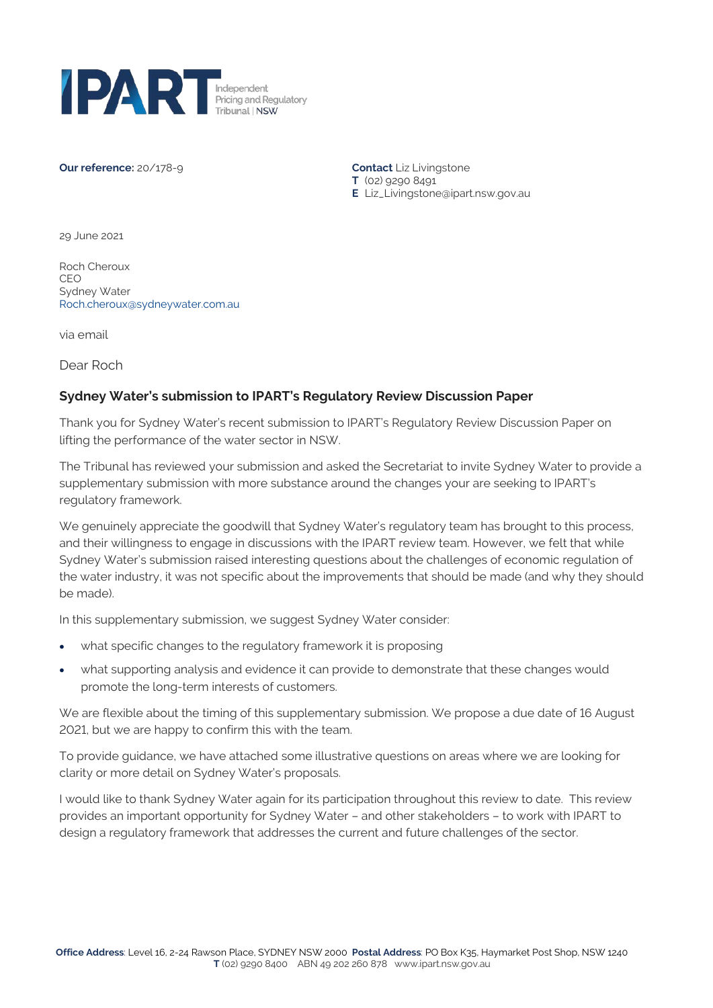

#### **Our reference:** 20/178-9 **Contact** Liz Livingstone

**T** (02) 9290 8491 **E** Liz\_Livingstone@ipart.nsw.gov.au

29 June 2021

Roch Cheroux CEO Sydney Water [Roch.cheroux@sydneywater.com.au](mailto:Roch.cheroux@sydneywater.com.au)

via email

Dear Roch

### **Sydney Water's submission to IPART's Regulatory Review Discussion Paper**

Thank you for Sydney Water's recent submission to IPART's Regulatory Review Discussion Paper on lifting the performance of the water sector in NSW.

The Tribunal has reviewed your submission and asked the Secretariat to invite Sydney Water to provide a supplementary submission with more substance around the changes your are seeking to IPART's regulatory framework.

We genuinely appreciate the goodwill that Sydney Water's regulatory team has brought to this process, and their willingness to engage in discussions with the IPART review team. However, we felt that while Sydney Water's submission raised interesting questions about the challenges of economic regulation of the water industry, it was not specific about the improvements that should be made (and why they should be made).

In this supplementary submission, we suggest Sydney Water consider:

- what specific changes to the regulatory framework it is proposing
- what supporting analysis and evidence it can provide to demonstrate that these changes would promote the long-term interests of customers.

We are flexible about the timing of this supplementary submission. We propose a due date of 16 August 2021, but we are happy to confirm this with the team.

To provide guidance, we have attached some illustrative questions on areas where we are looking for clarity or more detail on Sydney Water's proposals.

I would like to thank Sydney Water again for its participation throughout this review to date. This review provides an important opportunity for Sydney Water – and other stakeholders – to work with IPART to design a regulatory framework that addresses the current and future challenges of the sector.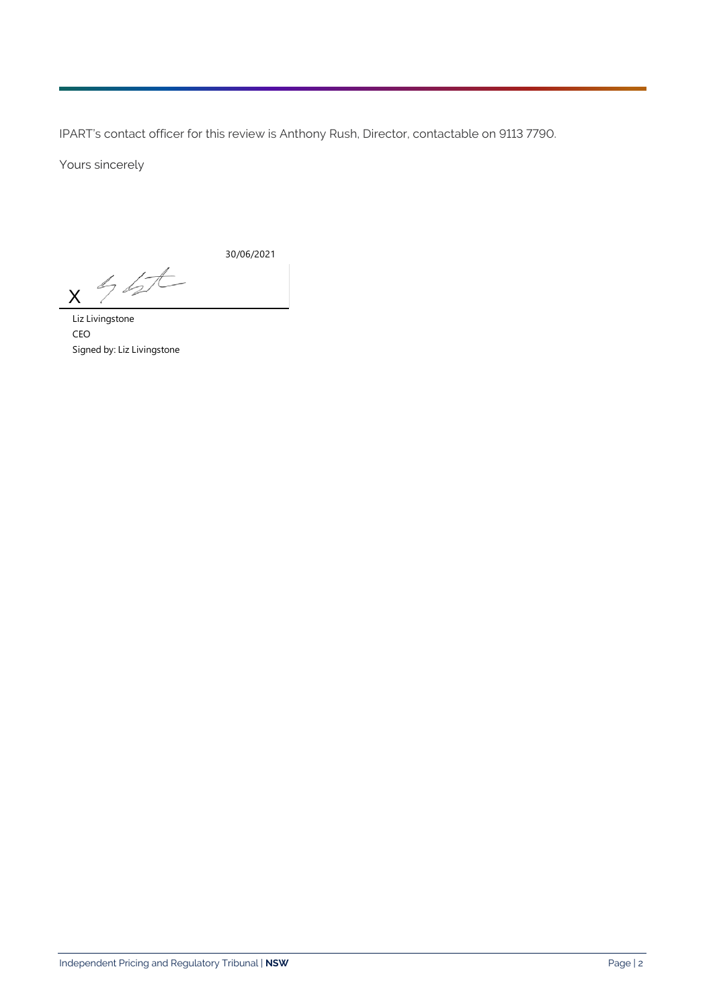IPART's contact officer for this review is Anthony Rush, Director, contactable on 9113 7790.

Yours sincerely

30/06/2021

 $46t$ X

Liz Livingstone CEO Signed by: Liz Livingstone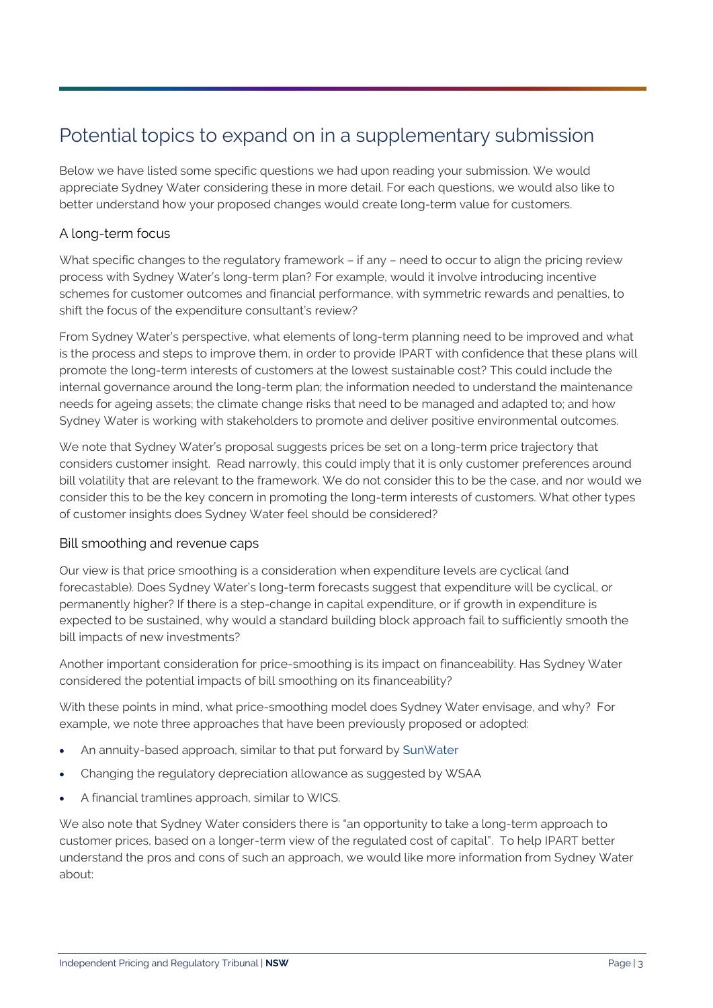# Potential topics to expand on in a supplementary submission

Below we have listed some specific questions we had upon reading your submission. We would appreciate Sydney Water considering these in more detail. For each questions, we would also like to better understand how your proposed changes would create long-term value for customers.

# A long-term focus

What specific changes to the regulatory framework – if any – need to occur to align the pricing review process with Sydney Water's long-term plan? For example, would it involve introducing incentive schemes for customer outcomes and financial performance, with symmetric rewards and penalties, to shift the focus of the expenditure consultant's review?

From Sydney Water's perspective, what elements of long-term planning need to be improved and what is the process and steps to improve them, in order to provide IPART with confidence that these plans will promote the long-term interests of customers at the lowest sustainable cost? This could include the internal governance around the long-term plan; the information needed to understand the maintenance needs for ageing assets; the climate change risks that need to be managed and adapted to; and how Sydney Water is working with stakeholders to promote and deliver positive environmental outcomes.

We note that Sydney Water's proposal suggests prices be set on a long-term price trajectory that considers customer insight. Read narrowly, this could imply that it is only customer preferences around bill volatility that are relevant to the framework. We do not consider this to be the case, and nor would we consider this to be the key concern in promoting the long-term interests of customers. What other types of customer insights does Sydney Water feel should be considered?

## Bill smoothing and revenue caps

Our view is that price smoothing is a consideration when expenditure levels are cyclical (and forecastable). Does Sydney Water's long-term forecasts suggest that expenditure will be cyclical, or permanently higher? If there is a step-change in capital expenditure, or if growth in expenditure is expected to be sustained, why would a standard building block approach fail to sufficiently smooth the bill impacts of new investments?

Another important consideration for price-smoothing is its impact on financeability. Has Sydney Water considered the potential impacts of bill smoothing on its financeability?

With these points in mind, what price-smoothing model does Sydney Water envisage, and why? For example, we note three approaches that have been previously proposed or adopted:

- An annuity-based approach, similar to that put forward by [SunWater](https://www.qca.org.au/wp-content/uploads/2019/05/8144_W-Sun-Irrig-Pirce-SAHA-IssPaper-RenAnnRegDepAllow-0910-1.pdf#:%7E:text=The%20renewals%20annuity%20approach%20is%20a%20form%20of,expenditure%20on%20these%20assets%20should%20be%20specified%20accordingly)
- Changing the regulatory depreciation allowance as suggested by WSAA
- A financial tramlines approach, similar to WICS.

We also note that Sydney Water considers there is "an opportunity to take a long-term approach to customer prices, based on a longer-term view of the regulated cost of capital". To help IPART better understand the pros and cons of such an approach, we would like more information from Sydney Water about: